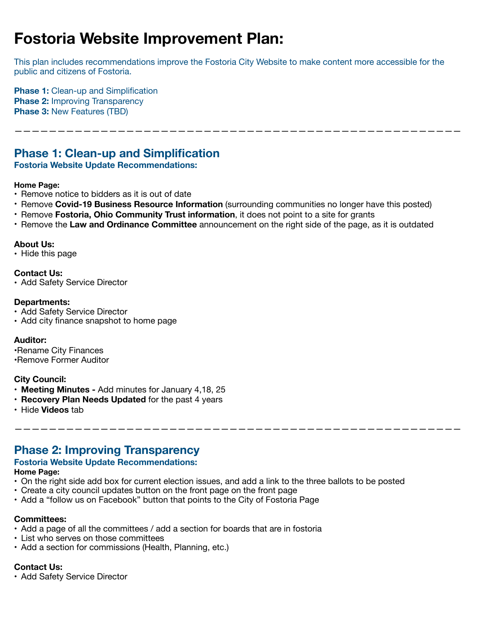# **Fostoria Website Improvement Plan:**

This plan includes recommendations improve the Fostoria City Website to make content more accessible for the public and citizens of Fostoria.

————————————————————————————————————————————————————

**Phase 1:** Clean-up and Simplification **Phase 2: Improving Transparency Phase 3:** New Features (TBD)

# **Phase 1: Clean-up and Simplification**

# **Fostoria Website Update Recommendations:**

### **Home Page:**

- Remove notice to bidders as it is out of date
- Remove **Covid-19 Business Resource Information** (surrounding communities no longer have this posted)
- Remove **Fostoria, Ohio Community Trust information**, it does not point to a site for grants
- Remove the **Law and Ordinance Committee** announcement on the right side of the page, as it is outdated

### **About Us:**

**•** Hide this page

### **Contact Us:**

**•** Add Safety Service Director

### **Departments:**

- **•** Add Safety Service Director
- **•** Add city finance snapshot to home page

### **Auditor:**

**•**Rename City Finances •Remove Former Auditor

# **City Council:**

- **• Meeting Minutes** Add minutes for January 4,18, 25
- **• Recovery Plan Needs Updated** for the past 4 years
- **•** Hide **Videos** tab

# **Phase 2: Improving Transparency**

# **Fostoria Website Update Recommendations:**

### **Home Page:**

• On the right side add box for current election issues, and add a link to the three ballots to be posted

————————————————————————————————————————————————————

- Create a city council updates button on the front page on the front page
- Add a "follow us on Facebook" button that points to the City of Fostoria Page

### **Committees:**

- Add a page of all the committees / add a section for boards that are in fostoria
- List who serves on those committees
- Add a section for commissions (Health, Planning, etc.)

### **Contact Us:**

**•** Add Safety Service Director